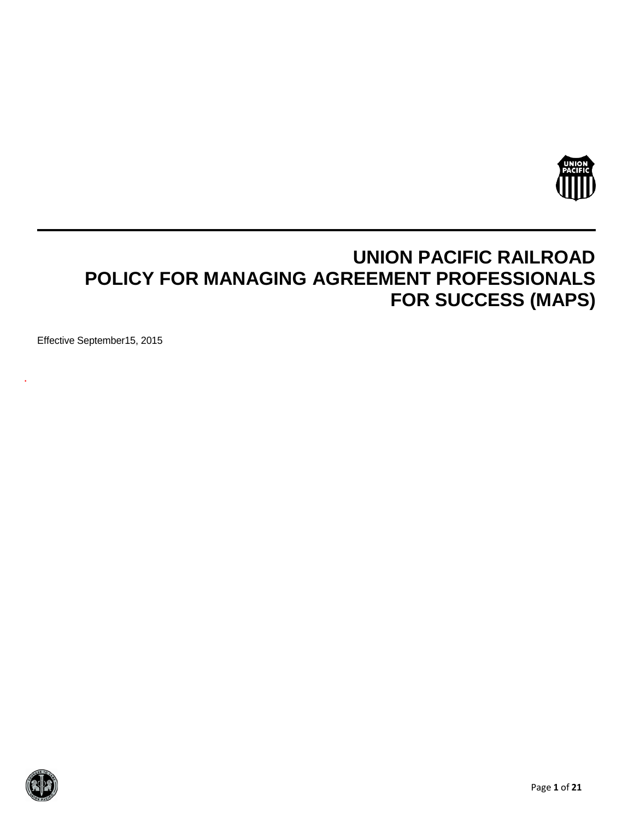

# **UNION PACIFIC RAILROAD POLICY FOR MANAGING AGREEMENT PROFESSIONALS FOR SUCCESS (MAPS)**

Effective September15, 2015

.

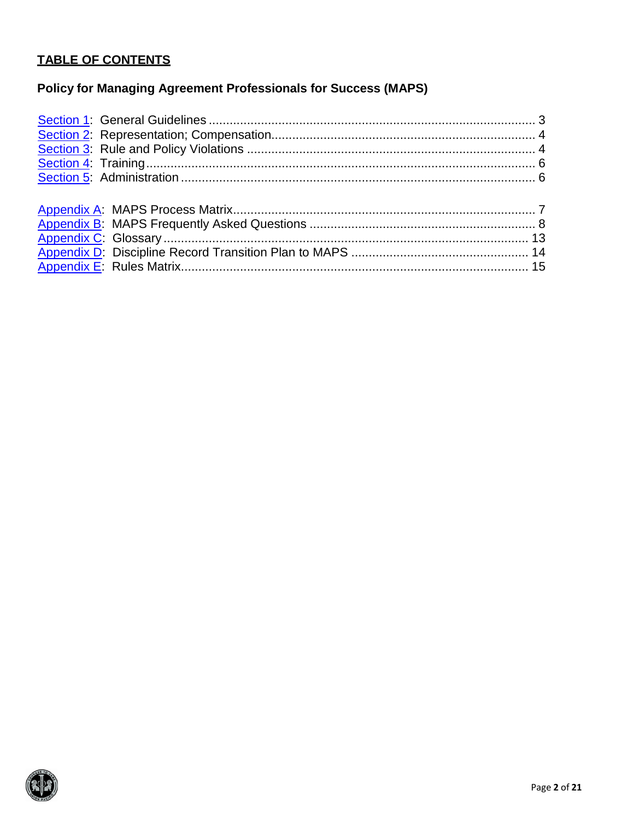### **TABLE OF CONTENTS**

## **Policy for Managing Agreement Professionals for Success (MAPS)**

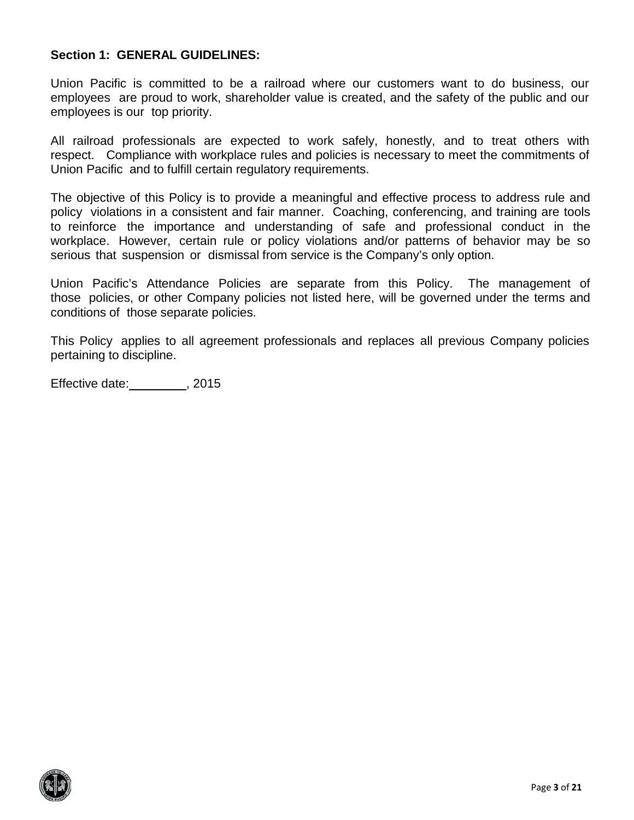#### <span id="page-2-0"></span>**Section 1: GENERAL GUIDELINES:**

Union Pacific is committed to be a railroad where our customers want to do business, our employees are proud to work, shareholder value is created, and the safety of the public and our employees is our top priority.

All railroad professionals are expected to work safely, honestly, and to treat others with respect. Compliance with workplace rules and policies is necessary to meet the commitments of Union Pacific and to fulfill certain regulatory requirements.

The objective of this Policy is to provide a meaningful and effective process to address rule and policy violations in a consistent and fair manner. Coaching, conferencing, and training are tools to reinforce the importance and understanding of safe and professional conduct in the workplace. However, certain rule or policy violations and/or patterns of behavior may be so serious that suspension or dismissal from service is the Company's only option.

Union Pacific's Attendance Policies are separate from this Policy. The management of those policies, or other Company policies not listed here, will be governed under the terms and conditions of those separate policies.

This Policy applies to all agreement professionals and replaces all previous Company policies pertaining to discipline.

Effective date: \_\_\_\_\_\_\_\_, 2015

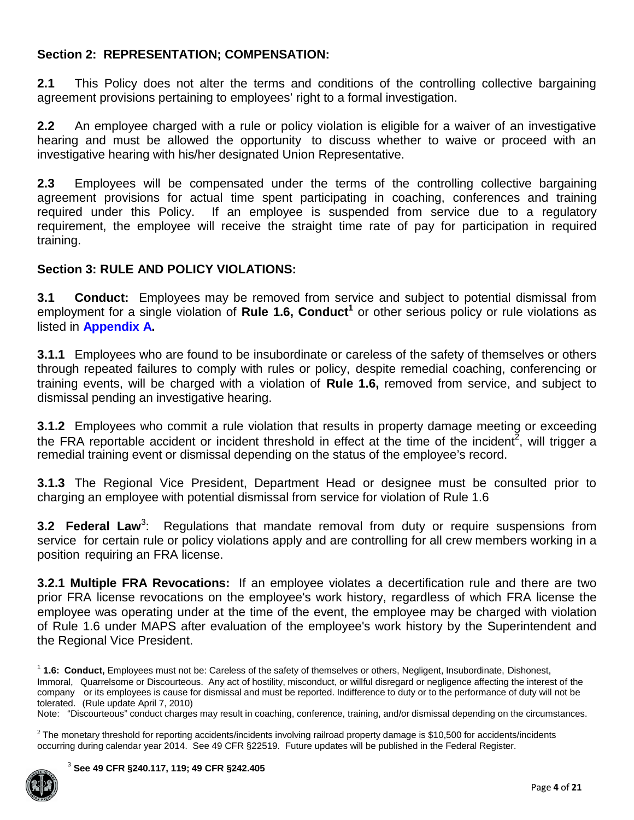#### <span id="page-3-0"></span>**Section 2: REPRESENTATION; COMPENSATION:**

**2.1** This Policy does not alter the terms and conditions of the controlling collective bargaining agreement provisions pertaining to employees' right to a formal investigation.

**2.2** An employee charged with a rule or policy violation is eligible for a waiver of an investigative hearing and must be allowed the opportunity to discuss whether to waive or proceed with an investigative hearing with his/her designated Union Representative.

**2.3** Employees will be compensated under the terms of the controlling collective bargaining agreement provisions for actual time spent participating in coaching, conferences and training required under this Policy. If an employee is suspended from service due to a regulatory requirement, the employee will receive the straight time rate of pay for participation in required training.

### <span id="page-3-1"></span>**Section 3: RULE AND POLICY VIOLATIONS:**

**3.1 Conduct:** Employees may be removed from service and subject to potential dismissal from employment for a single violation of Rule 1.6, Conduct<sup>1</sup> or other serious policy or rule violations as listed in **[Appendix](#page-6-0) A.**

**3.1.1** Employees who are found to be insubordinate or careless of the safety of themselves or others through repeated failures to comply with rules or policy, despite remedial coaching, conferencing or training events, will be charged with a violation of **Rule 1.6,** removed from service, and subject to dismissal pending an investigative hearing.

**3.1.2** Employees who commit a rule violation that results in property damage meeting or exceeding the FRA reportable accident or incident threshold in effect at the time of the incident<sup>2</sup>, will trigger a remedial training event or dismissal depending on the status of the employee's record.

**3.1.3** The Regional Vice President, Department Head or designee must be consulted prior to charging an employee with potential dismissal from service for violation of Rule 1.6

**3.2 Federal Law<sup>3</sup>: Regulations that mandate removal from duty or require suspensions from** service for certain rule or policy violations apply and are controlling for all crew members working in a position requiring an FRA license.

**3.2.1 Multiple FRA Revocations:** If an employee violates a decertification rule and there are two prior FRA license revocations on the employee's work history, regardless of which FRA license the employee was operating under at the time of the event, the employee may be charged with violation of Rule 1.6 under MAPS after evaluation of the employee's work history by the Superintendent and the Regional Vice President.

<sup>1</sup> **1.6: Conduct,** Employees must not be: Careless of the safety of themselves or others, Negligent, Insubordinate, Dishonest, Immoral, Quarrelsome or Discourteous. Any act of hostility, misconduct, or willful disregard or negligence affecting the interest of the company or its employees is cause for dismissal and must be reported. Indifference to duty or to the performance of duty will not be tolerated. (Rule update April 7, 2010)

Note: "Discourteous" conduct charges may result in coaching, conference, training, and/or dismissal depending on the circumstances.

 $2$  The monetary threshold for reporting accidents/incidents involving railroad property damage is \$10,500 for accidents/incidents occurring during calendar year 2014. See 49 CFR §22519. Future updates will be published in the Federal Register.

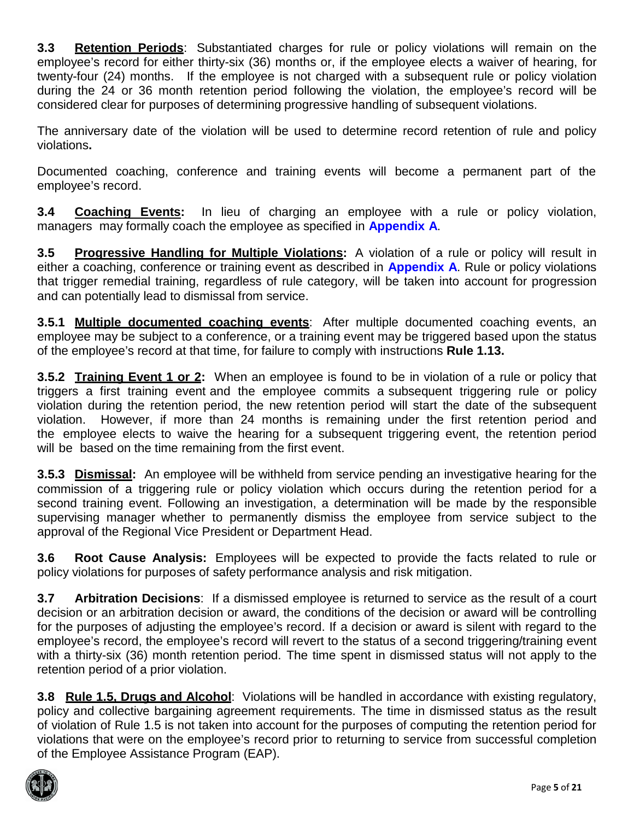**3.3 Retention Periods**: Substantiated charges for rule or policy violations will remain on the employee's record for either thirty-six (36) months or, if the employee elects a waiver of hearing, for twenty-four (24) months. If the employee is not charged with a subsequent rule or policy violation during the 24 or 36 month retention period following the violation, the employee's record will be considered clear for purposes of determining progressive handling of subsequent violations.

The anniversary date of the violation will be used to determine record retention of rule and policy violations**.**

Documented coaching, conference and training events will become a permanent part of the employee's record.

**3.4 Coaching Events:** In lieu of charging an employee with a rule or policy violation, managers may formally coach the employee as specified in **[Appendix](#page-6-0) A**.

**3.5 Progressive Handling for Multiple Violations:** A violation of a rule or policy will result in either a coaching, conference or training event as described in **[Appendix](#page-6-0) A**. Rule or policy violations that trigger remedial training, regardless of rule category, will be taken into account for progression and can potentially lead to dismissal from service.

<span id="page-4-0"></span>**3.5.1 Multiple documented coaching events**: After multiple documented coaching events, an employee may be subject to a conference, or a training event may be triggered based upon the status of the employee's record at that time, for failure to comply with instructions **Rule 1.13.**

**3.5.2 Training Event 1 or 2:** When an employee is found to be in violation of a rule or policy that triggers a first training event and the employee commits a subsequent triggering rule or policy violation during the retention period, the new retention period will start the date of the subsequent violation. However, if more than 24 months is remaining under the first retention period and the employee elects to waive the hearing for a subsequent triggering event, the retention period will be based on the time remaining from the first event.

**3.5.3 Dismissal:** An employee will be withheld from service pending an investigative hearing for the commission of a triggering rule or policy violation which occurs during the retention period for a second training event. Following an investigation, a determination will be made by the responsible supervising manager whether to permanently dismiss the employee from service subject to the approval of the Regional Vice President or Department Head.

**3.6 Root Cause Analysis:** Employees will be expected to provide the facts related to rule or policy violations for purposes of safety performance analysis and risk mitigation.

<span id="page-4-1"></span>**3.7 Arbitration Decisions**: If a dismissed employee is returned to service as the result of a court decision or an arbitration decision or award, the conditions of the decision or award will be controlling for the purposes of adjusting the employee's record. If a decision or award is silent with regard to the employee's record, the employee's record will revert to the status of a second triggering/training event with a thirty-six (36) month retention period. The time spent in dismissed status will not apply to the retention period of a prior violation.

**3.8 Rule 1.5, Drugs and Alcohol**: Violations will be handled in accordance with existing regulatory, policy and collective bargaining agreement requirements. The time in dismissed status as the result of violation of Rule 1.5 is not taken into account for the purposes of computing the retention period for violations that were on the employee's record prior to returning to service from successful completion of the Employee Assistance Program (EAP).

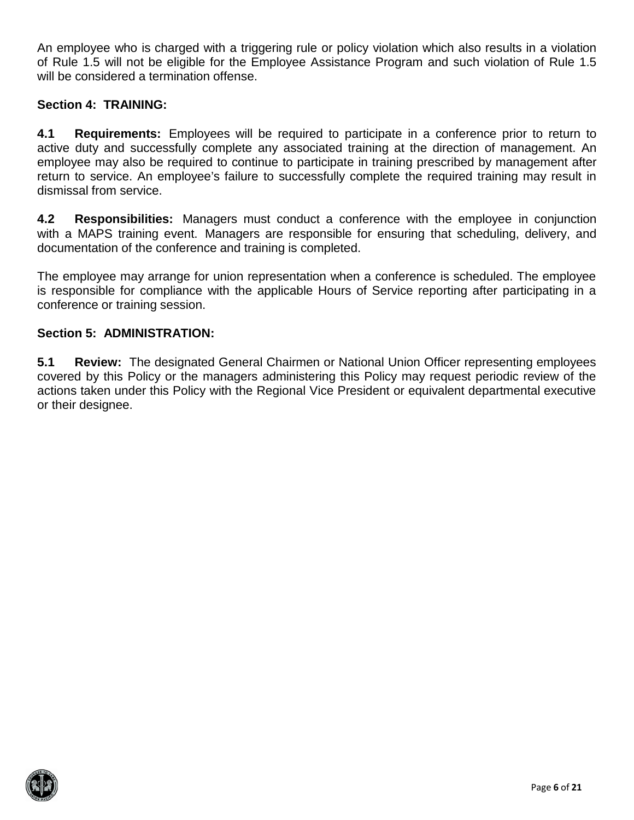An employee who is charged with a triggering rule or policy violation which also results in a violation of Rule 1.5 will not be eligible for the Employee Assistance Program and such violation of Rule 1.5 will be considered a termination offense.

#### <span id="page-5-0"></span>**Section 4: TRAINING:**

**4.1 Requirements:** Employees will be required to participate in a conference prior to return to active duty and successfully complete any associated training at the direction of management. An employee may also be required to continue to participate in training prescribed by management after return to service. An employee's failure to successfully complete the required training may result in dismissal from service.

**4.2 Responsibilities:** Managers must conduct a conference with the employee in conjunction with a MAPS training event. Managers are responsible for ensuring that scheduling, delivery, and documentation of the conference and training is completed.

The employee may arrange for union representation when a conference is scheduled. The employee is responsible for compliance with the applicable Hours of Service reporting after participating in a conference or training session.

#### <span id="page-5-1"></span>**Section 5: ADMINISTRATION:**

**5.1 Review:** The designated General Chairmen or National Union Officer representing employees covered by this Policy or the managers administering this Policy may request periodic review of the actions taken under this Policy with the Regional Vice President or equivalent departmental executive or their designee.

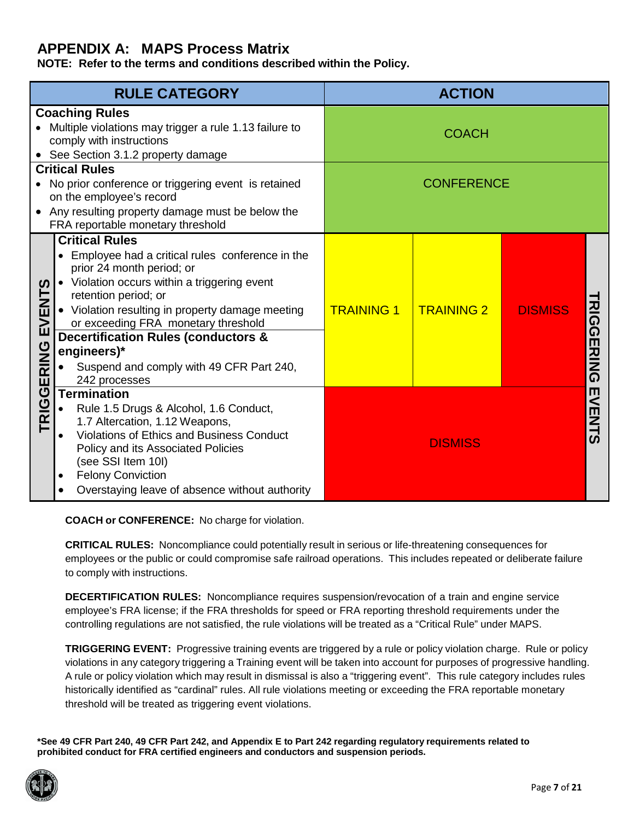### <span id="page-6-0"></span>**APPENDIX A: MAPS Process Matrix**

**NOTE: Refer to the terms and conditions described within the Policy.**

|                  | <b>RULE CATEGORY</b>                                                                                                                                                                                                                                                                                                                                                                                   |                   | <b>ACTION</b>     |                |                  |
|------------------|--------------------------------------------------------------------------------------------------------------------------------------------------------------------------------------------------------------------------------------------------------------------------------------------------------------------------------------------------------------------------------------------------------|-------------------|-------------------|----------------|------------------|
|                  | <b>Coaching Rules</b><br>Multiple violations may trigger a rule 1.13 failure to<br>comply with instructions<br>• See Section 3.1.2 property damage                                                                                                                                                                                                                                                     |                   | <b>COACH</b>      |                |                  |
|                  | <b>Critical Rules</b><br>No prior conference or triggering event is retained<br>on the employee's record<br>Any resulting property damage must be below the<br>FRA reportable monetary threshold                                                                                                                                                                                                       |                   | <b>CONFERENCE</b> |                |                  |
| <u>ທ</u><br>EVEN | <b>Critical Rules</b><br>Employee had a critical rules conference in the<br>prior 24 month period; or<br>• Violation occurs within a triggering event<br>retention period; or<br>• Violation resulting in property damage meeting<br>or exceeding FRA monetary threshold<br><b>Decertification Rules (conductors &amp;</b><br>engineers)*<br>Suspend and comply with 49 CFR Part 240,<br>242 processes | <b>TRAINING 1</b> | <b>TRAINING 2</b> | <b>DISMISS</b> | <b>RIGGERING</b> |
| TRIGGERING       | <b>Termination</b><br>Rule 1.5 Drugs & Alcohol, 1.6 Conduct,<br>1.7 Altercation, 1.12 Weapons,<br><b>Violations of Ethics and Business Conduct</b><br>Policy and its Associated Policies<br>(see SSI Item 10I)<br><b>Felony Conviction</b><br>٠<br>Overstaying leave of absence without authority                                                                                                      |                   | <b>DISMISS</b>    |                | <b>EVENTS</b>    |

**COACH or CONFERENCE:** No charge for violation.

**CRITICAL RULES:** Noncompliance could potentially result in serious or life-threatening consequences for employees or the public or could compromise safe railroad operations. This includes repeated or deliberate failure to comply with instructions.

**DECERTIFICATION RULES:** Noncompliance requires suspension/revocation of a train and engine service employee's FRA license; if the FRA thresholds for speed or FRA reporting threshold requirements under the controlling regulations are not satisfied, the rule violations will be treated as a "Critical Rule" under MAPS.

**TRIGGERING EVENT:** Progressive training events are triggered by a rule or policy violation charge. Rule or policy violations in any category triggering a Training event will be taken into account for purposes of progressive handling. A rule or policy violation which may result in dismissal is also a "triggering event". This rule category includes rules historically identified as "cardinal" rules. All rule violations meeting or exceeding the FRA reportable monetary threshold will be treated as triggering event violations.

**\*See 49 CFR Part 240, 49 CFR Part 242, and Appendix E to Part 242 regarding regulatory requirements related to prohibited conduct for FRA certified engineers and conductors and suspension periods.**

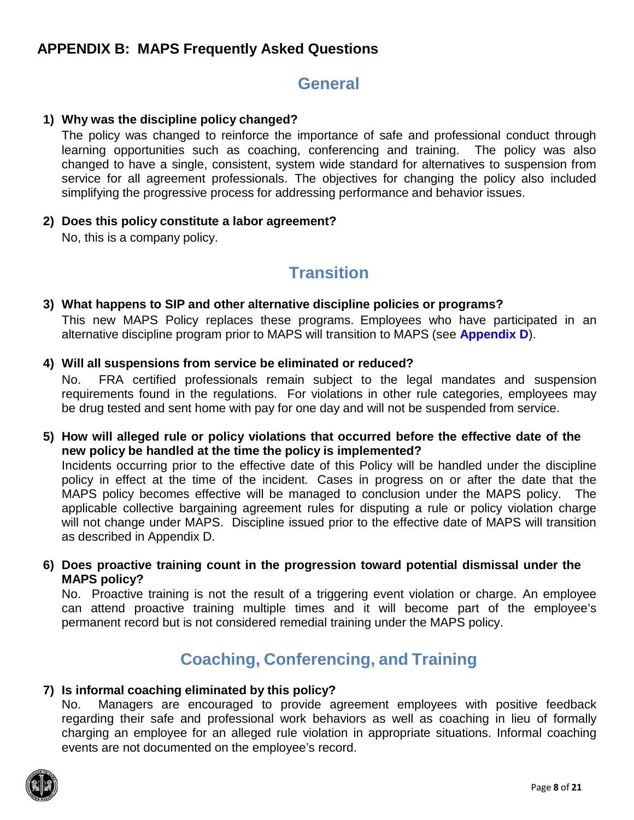### <span id="page-7-0"></span>**APPENDIX B: MAPS Frequently Asked Questions**

### **General**

#### **1) Why was the discipline policy changed?**

The policy was changed to reinforce the importance of safe and professional conduct through learning opportunities such as coaching, conferencing and training. The policy was also changed to have a single, consistent, system wide standard for alternatives to suspension from service for all agreement professionals. The objectives for changing the policy also included simplifying the progressive process for addressing performance and behavior issues.

#### **2) Does this policy constitute a labor agreement?**

No, this is a company policy.

## **Transition**

#### **3) What happens to SIP and other alternative discipline policies or programs?**

This new MAPS Policy replaces these programs. Employees who have participated in an alternative discipline program prior to MAPS will transition to MAPS (see **[Appendix](#page-13-0) D**).

#### **4) Will all suspensions from service be eliminated or reduced?**

No. FRA certified professionals remain subject to the legal mandates and suspension requirements found in the regulations. For violations in other rule categories, employees may be drug tested and sent home with pay for one day and will not be suspended from service.

#### **5) How will alleged rule or policy violations that occurred before the effective date of the new policy be handled at the time the policy is implemented?**

Incidents occurring prior to the effective date of this Policy will be handled under the discipline policy in effect at the time of the incident. Cases in progress on or after the date that the MAPS policy becomes effective will be managed to conclusion under the MAPS policy. The applicable collective bargaining agreement rules for disputing a rule or policy violation charge will not change under MAPS. Discipline issued prior to the effective date of MAPS will transition as described in Appendix D.

#### **6) Does proactive training count in the progression toward potential dismissal under the MAPS policy?**

No. Proactive training is not the result of a triggering event violation or charge. An employee can attend proactive training multiple times and it will become part of the employee's permanent record but is not considered remedial training under the MAPS policy.

## **Coaching, Conferencing, and Training**

#### **7) Is informal coaching eliminated by this policy?**

No. Managers are encouraged to provide agreement employees with positive feedback regarding their safe and professional work behaviors as well as coaching in lieu of formally charging an employee for an alleged rule violation in appropriate situations. Informal coaching events are not documented on the employee's record.

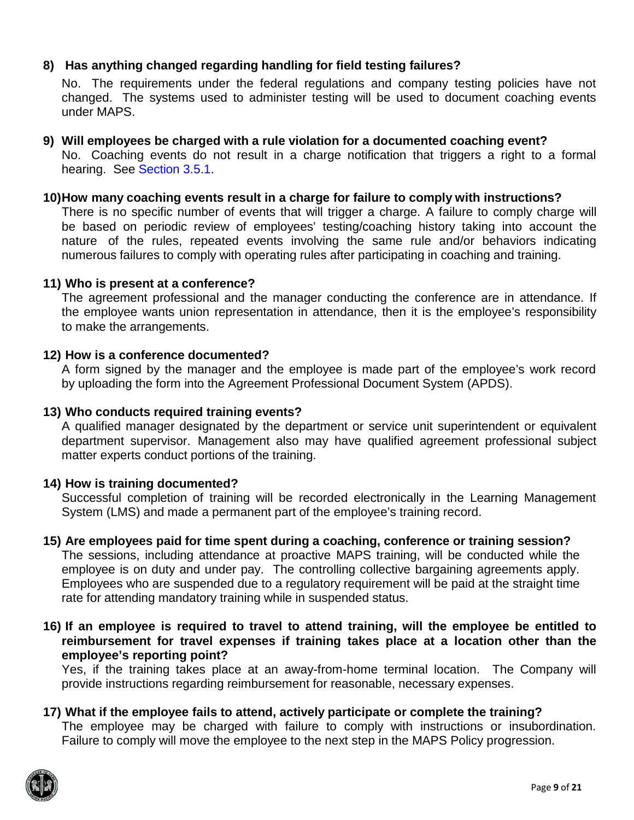#### **8) Has anything changed regarding handling for field testing failures?**

No. The requirements under the federal regulations and company testing policies have not changed. The systems used to administer testing will be used to document coaching events under MAPS.

#### **9) Will employees be charged with a rule violation for a documented coaching event?** No. Coaching events do not result in a charge notification that triggers a right to a formal hearing. See [Section 3.5.1.](#page-4-0)

#### **10)How many coaching events result in a charge for failure to comply with instructions?**

There is no specific number of events that will trigger a charge. A failure to comply charge will be based on periodic review of employees' testing/coaching history taking into account the nature of the rules, repeated events involving the same rule and/or behaviors indicating numerous failures to comply with operating rules after participating in coaching and training.

#### **11) Who is present at a conference?**

The agreement professional and the manager conducting the conference are in attendance. If the employee wants union representation in attendance, then it is the employee's responsibility to make the arrangements.

#### **12) How is a conference documented?**

A form signed by the manager and the employee is made part of the employee's work record by uploading the form into the Agreement Professional Document System (APDS).

#### **13) Who conducts required training events?**

A qualified manager designated by the department or service unit superintendent or equivalent department supervisor. Management also may have qualified agreement professional subject matter experts conduct portions of the training.

#### **14) How is training documented?**

Successful completion of training will be recorded electronically in the Learning Management System (LMS) and made a permanent part of the employee's training record.

#### **15) Are employees paid for time spent during a coaching, conference or training session?**

The sessions, including attendance at proactive MAPS training, will be conducted while the employee is on duty and under pay. The controlling collective bargaining agreements apply. Employees who are suspended due to a regulatory requirement will be paid at the straight time rate for attending mandatory training while in suspended status.

#### **16) If an employee is required to travel to attend training, will the employee be entitled to reimbursement for travel expenses if training takes place at a location other than the employee's reporting point?**

Yes, if the training takes place at an away-from-home terminal location. The Company will provide instructions regarding reimbursement for reasonable, necessary expenses.

#### **17) What if the employee fails to attend, actively participate or complete the training?**

The employee may be charged with failure to comply with instructions or insubordination. Failure to comply will move the employee to the next step in the MAPS Policy progression.

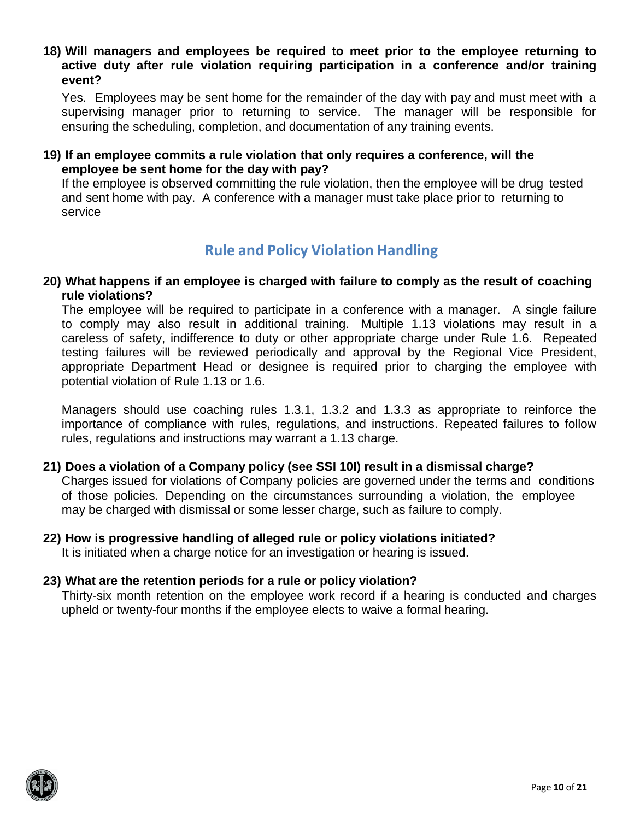**18) Will managers and employees be required to meet prior to the employee returning to active duty after rule violation requiring participation in a conference and/or training event?**

Yes. Employees may be sent home for the remainder of the day with pay and must meet with a supervising manager prior to returning to service. The manager will be responsible for ensuring the scheduling, completion, and documentation of any training events.

#### **19) If an employee commits a rule violation that only requires a conference, will the employee be sent home for the day with pay?**

If the employee is observed committing the rule violation, then the employee will be drug tested and sent home with pay. A conference with a manager must take place prior to returning to service

## **Rule and Policy Violation Handling**

#### **20) What happens if an employee is charged with failure to comply as the result of coaching rule violations?**

The employee will be required to participate in a conference with a manager. A single failure to comply may also result in additional training. Multiple 1.13 violations may result in a careless of safety, indifference to duty or other appropriate charge under Rule 1.6. Repeated testing failures will be reviewed periodically and approval by the Regional Vice President, appropriate Department Head or designee is required prior to charging the employee with potential violation of Rule 1.13 or 1.6.

Managers should use coaching rules 1.3.1, 1.3.2 and 1.3.3 as appropriate to reinforce the importance of compliance with rules, regulations, and instructions. Repeated failures to follow rules, regulations and instructions may warrant a 1.13 charge.

#### **21) Does a violation of a Company policy (see SSI 10I) result in a dismissal charge?**

Charges issued for violations of Company policies are governed under the terms and conditions of those policies. Depending on the circumstances surrounding a violation, the employee may be charged with dismissal or some lesser charge, such as failure to comply.

### **22) How is progressive handling of alleged rule or policy violations initiated?**

It is initiated when a charge notice for an investigation or hearing is issued.

#### **23) What are the retention periods for a rule or policy violation?**

Thirty-six month retention on the employee work record if a hearing is conducted and charges upheld or twenty-four months if the employee elects to waive a formal hearing.

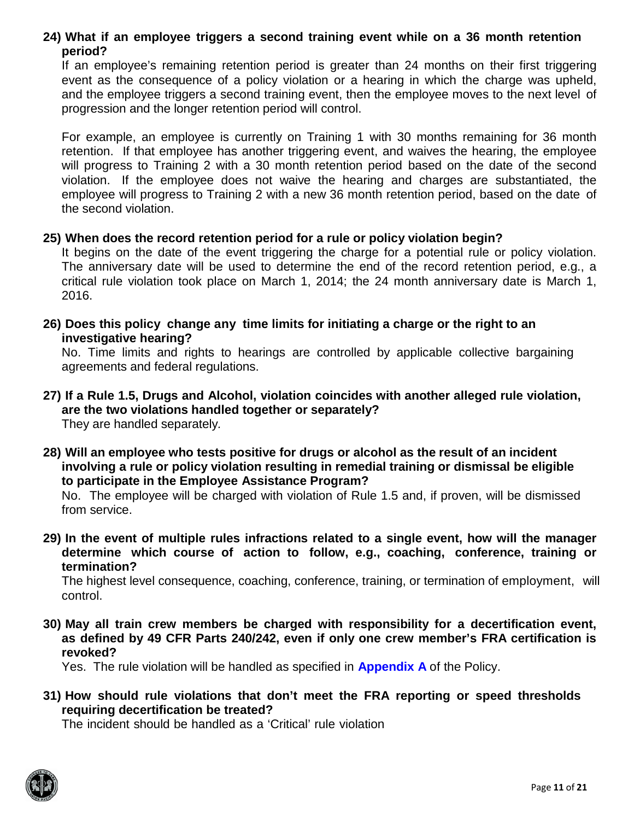#### **24) What if an employee triggers a second training event while on a 36 month retention period?**

If an employee's remaining retention period is greater than 24 months on their first triggering event as the consequence of a policy violation or a hearing in which the charge was upheld, and the employee triggers a second training event, then the employee moves to the next level of progression and the longer retention period will control.

For example, an employee is currently on Training 1 with 30 months remaining for 36 month retention. If that employee has another triggering event, and waives the hearing, the employee will progress to Training 2 with a 30 month retention period based on the date of the second violation. If the employee does not waive the hearing and charges are substantiated, the employee will progress to Training 2 with a new 36 month retention period, based on the date of the second violation.

#### **25) When does the record retention period for a rule or policy violation begin?**

It begins on the date of the event triggering the charge for a potential rule or policy violation. The anniversary date will be used to determine the end of the record retention period, e.g., a critical rule violation took place on March 1, 2014; the 24 month anniversary date is March 1, 2016.

**26) Does this policy change any time limits for initiating a charge or the right to an investigative hearing?**

No. Time limits and rights to hearings are controlled by applicable collective bargaining agreements and federal regulations.

**27) If a Rule 1.5, Drugs and Alcohol, violation coincides with another alleged rule violation, are the two violations handled together or separately?**

They are handled separately*.*

**28) Will an employee who tests positive for drugs or alcohol as the result of an incident involving a rule or policy violation resulting in remedial training or dismissal be eligible to participate in the Employee Assistance Program?**

No. The employee will be charged with violation of Rule 1.5 and, if proven, will be dismissed from service.

**29) In the event of multiple rules infractions related to a single event, how will the manager determine which course of action to follow, e.g., coaching, conference, training or termination?**

The highest level consequence, coaching, conference, training, or termination of employment, will control.

**30) May all train crew members be charged with responsibility for a decertification event, as defined by 49 CFR Parts 240/242, even if only one crew member's FRA certification is revoked?**

Yes. The rule violation will be handled as specified in **[Appendix](#page-6-0) A** of the Policy.

**31) How should rule violations that don't meet the FRA reporting or speed thresholds requiring decertification be treated?**

The incident should be handled as a 'Critical' rule violation

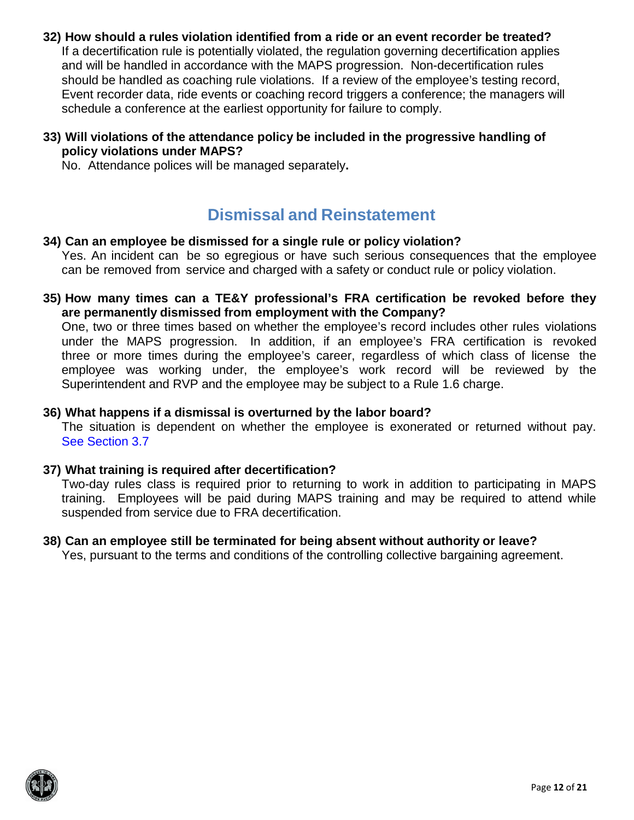- **32) How should a rules violation identified from a ride or an event recorder be treated?** If a decertification rule is potentially violated, the regulation governing decertification applies and will be handled in accordance with the MAPS progression. Non-decertification rules should be handled as coaching rule violations. If a review of the employee's testing record, Event recorder data, ride events or coaching record triggers a conference; the managers will schedule a conference at the earliest opportunity for failure to comply.
- **33) Will violations of the attendance policy be included in the progressive handling of policy violations under MAPS?**

No. Attendance polices will be managed separately**.**

## **Dismissal and Reinstatement**

#### **34) Can an employee be dismissed for a single rule or policy violation?**

Yes. An incident can be so egregious or have such serious consequences that the employee can be removed from service and charged with a safety or conduct rule or policy violation.

**35) How many times can a TE&Y professional's FRA certification be revoked before they are permanently dismissed from employment with the Company?**

One, two or three times based on whether the employee's record includes other rules violations under the MAPS progression. In addition, if an employee's FRA certification is revoked three or more times during the employee's career, regardless of which class of license the employee was working under, the employee's work record will be reviewed by the Superintendent and RVP and the employee may be subject to a Rule 1.6 charge.

#### **36) What happens if a dismissal is overturned by the labor board?**

The situation is dependent on whether the employee is exonerated or returned without pay. See [Section](#page-4-1) 3.7

#### **37) What training is required after decertification?**

Two-day rules class is required prior to returning to work in addition to participating in MAPS training. Employees will be paid during MAPS training and may be required to attend while suspended from service due to FRA decertification.

## **38) Can an employee still be terminated for being absent without authority or leave?**

Yes, pursuant to the terms and conditions of the controlling collective bargaining agreement.

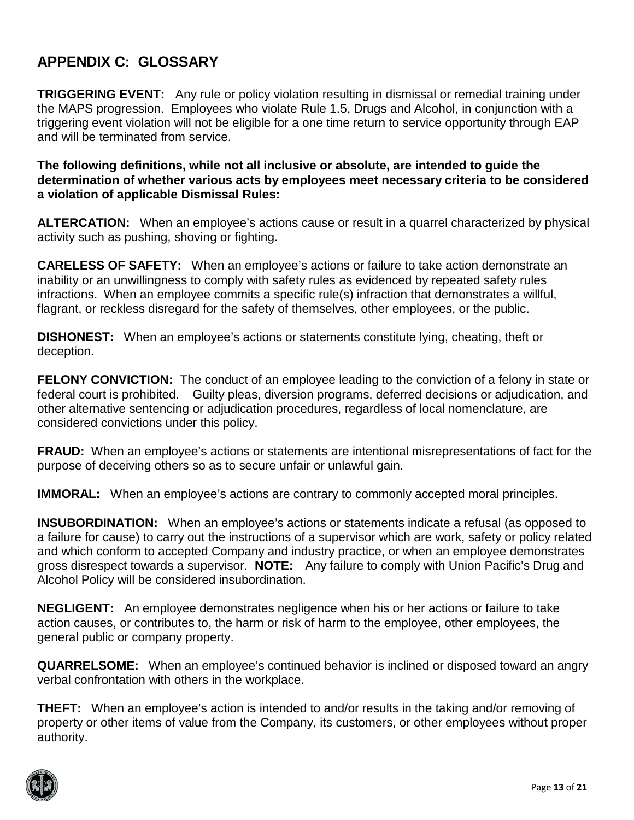### <span id="page-12-0"></span>**APPENDIX C: GLOSSARY**

**TRIGGERING EVENT:** Any rule or policy violation resulting in dismissal or remedial training under the MAPS progression. Employees who violate Rule 1.5, Drugs and Alcohol, in conjunction with a triggering event violation will not be eligible for a one time return to service opportunity through EAP and will be terminated from service.

**The following definitions, while not all inclusive or absolute, are intended to guide the determination of whether various acts by employees meet necessary criteria to be considered a violation of applicable Dismissal Rules:**

**ALTERCATION:** When an employee's actions cause or result in a quarrel characterized by physical activity such as pushing, shoving or fighting.

**CARELESS OF SAFETY:** When an employee's actions or failure to take action demonstrate an inability or an unwillingness to comply with safety rules as evidenced by repeated safety rules infractions. When an employee commits a specific rule(s) infraction that demonstrates a willful, flagrant, or reckless disregard for the safety of themselves, other employees, or the public.

**DISHONEST:** When an employee's actions or statements constitute lying, cheating, theft or deception.

**FELONY CONVICTION:** The conduct of an employee leading to the conviction of a felony in state or federal court is prohibited. Guilty pleas, diversion programs, deferred decisions or adjudication, and other alternative sentencing or adjudication procedures, regardless of local nomenclature, are considered convictions under this policy.

**FRAUD:** When an employee's actions or statements are intentional misrepresentations of fact for the purpose of deceiving others so as to secure unfair or unlawful gain.

**IMMORAL:** When an employee's actions are contrary to commonly accepted moral principles.

**INSUBORDINATION:** When an employee's actions or statements indicate a refusal (as opposed to a failure for cause) to carry out the instructions of a supervisor which are work, safety or policy related and which conform to accepted Company and industry practice, or when an employee demonstrates gross disrespect towards a supervisor. **NOTE:** Any failure to comply with Union Pacific's Drug and Alcohol Policy will be considered insubordination.

**NEGLIGENT:** An employee demonstrates negligence when his or her actions or failure to take action causes, or contributes to, the harm or risk of harm to the employee, other employees, the general public or company property.

**QUARRELSOME:** When an employee's continued behavior is inclined or disposed toward an angry verbal confrontation with others in the workplace.

**THEFT:** When an employee's action is intended to and/or results in the taking and/or removing of property or other items of value from the Company, its customers, or other employees without proper authority.

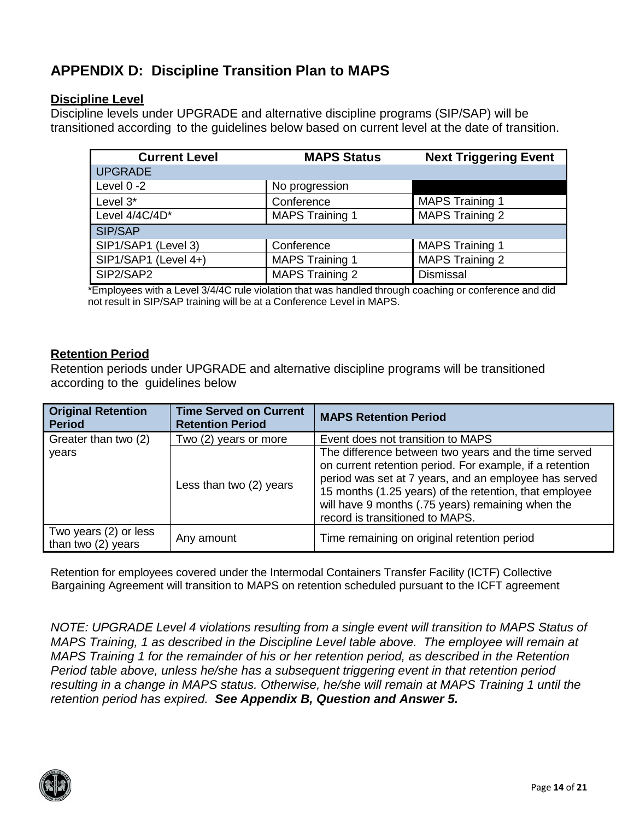## <span id="page-13-0"></span>**APPENDIX D: Discipline Transition Plan to MAPS**

#### **Discipline Level**

Discipline levels under UPGRADE and alternative discipline programs (SIP/SAP) will be transitioned according to the guidelines below based on current level at the date of transition.

| <b>Current Level</b> | <b>MAPS Status</b>     | <b>Next Triggering Event</b> |
|----------------------|------------------------|------------------------------|
| <b>UPGRADE</b>       |                        |                              |
| Level $0 - 2$        | No progression         |                              |
| Level 3*             | Conference             | <b>MAPS Training 1</b>       |
| Level 4/4C/4D*       | <b>MAPS Training 1</b> | <b>MAPS Training 2</b>       |
| SIP/SAP              |                        |                              |
| SIP1/SAP1 (Level 3)  | Conference             | <b>MAPS Training 1</b>       |
| SIP1/SAP1 (Level 4+) | <b>MAPS Training 1</b> | <b>MAPS Training 2</b>       |
| SIP2/SAP2            | <b>MAPS Training 2</b> | Dismissal                    |

\*Employees with a Level 3/4/4C rule violation that was handled through coaching or conference and did not result in SIP/SAP training will be at a Conference Level in MAPS.

#### **Retention Period**

Retention periods under UPGRADE and alternative discipline programs will be transitioned according to the guidelines below

| <b>Original Retention</b><br><b>Period</b>  | <b>Time Served on Current</b><br><b>Retention Period</b> | <b>MAPS Retention Period</b>                                                                                                                                                                                                                                                                                                |
|---------------------------------------------|----------------------------------------------------------|-----------------------------------------------------------------------------------------------------------------------------------------------------------------------------------------------------------------------------------------------------------------------------------------------------------------------------|
| Greater than two (2)                        | Two (2) years or more                                    | Event does not transition to MAPS                                                                                                                                                                                                                                                                                           |
| years                                       | Less than two (2) years                                  | The difference between two years and the time served<br>on current retention period. For example, if a retention<br>period was set at 7 years, and an employee has served<br>15 months (1.25 years) of the retention, that employee<br>will have 9 months (.75 years) remaining when the<br>record is transitioned to MAPS. |
| Two years (2) or less<br>than two (2) years | Any amount                                               | Time remaining on original retention period                                                                                                                                                                                                                                                                                 |

Retention for employees covered under the Intermodal Containers Transfer Facility (ICTF) Collective Bargaining Agreement will transition to MAPS on retention scheduled pursuant to the ICFT agreement

*NOTE: UPGRADE Level 4 violations resulting from a single event will transition to MAPS Status of MAPS Training, 1 as described in the Discipline Level table above. The employee will remain at MAPS Training 1 for the remainder of his or her retention period, as described in the Retention Period table above, unless he/she has a subsequent triggering event in that retention period resulting in a change in MAPS status. Otherwise, he/she will remain at MAPS Training 1 until the retention period has expired. See Appendix B, Question and Answer 5.*

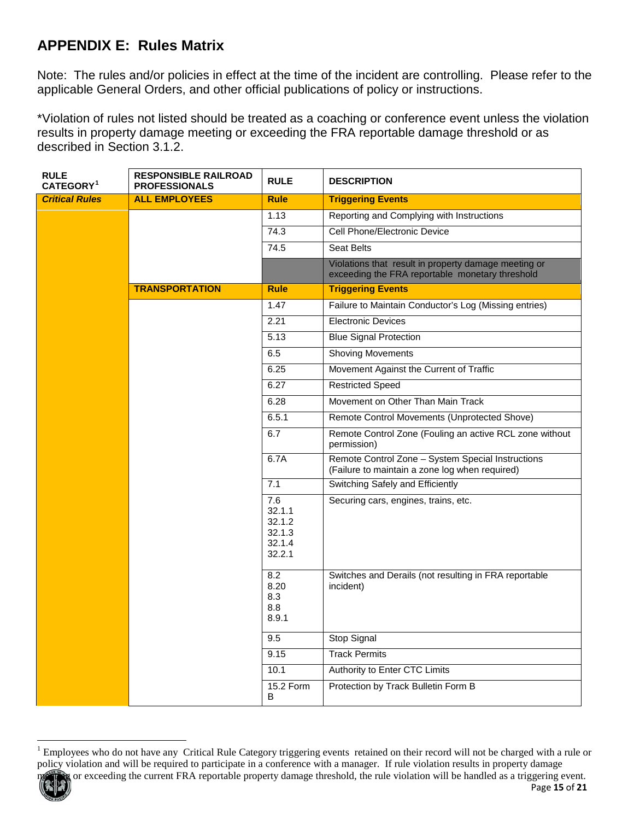## <span id="page-14-0"></span>**APPENDIX E: Rules Matrix**

Note: The rules and/or policies in effect at the time of the incident are controlling. Please refer to the applicable General Orders, and other official publications of policy or instructions.

\*Violation of rules not listed should be treated as a coaching or conference event unless the violation results in property damage meeting or exceeding the FRA reportable damage threshold or as described in Section 3.1.2.

| <b>RULE</b><br>CATEGORY <sup>1</sup> | <b>RESPONSIBLE RAILROAD</b><br><b>PROFESSIONALS</b> | <b>RULE</b>                                           | <b>DESCRIPTION</b>                                                                                      |
|--------------------------------------|-----------------------------------------------------|-------------------------------------------------------|---------------------------------------------------------------------------------------------------------|
| <b>Critical Rules</b>                | <b>ALL EMPLOYEES</b>                                | <b>Rule</b>                                           | <b>Triggering Events</b>                                                                                |
|                                      |                                                     | 1.13                                                  | Reporting and Complying with Instructions                                                               |
|                                      |                                                     | 74.3                                                  | Cell Phone/Electronic Device                                                                            |
|                                      |                                                     | 74.5                                                  | <b>Seat Belts</b>                                                                                       |
|                                      |                                                     |                                                       | Violations that result in property damage meeting or<br>exceeding the FRA reportable monetary threshold |
|                                      | <b>TRANSPORTATION</b>                               | <b>Rule</b>                                           | <b>Triggering Events</b>                                                                                |
|                                      |                                                     | 1.47                                                  | Failure to Maintain Conductor's Log (Missing entries)                                                   |
|                                      |                                                     | 2.21                                                  | Electronic Devices                                                                                      |
|                                      |                                                     | 5.13                                                  | <b>Blue Signal Protection</b>                                                                           |
|                                      |                                                     | 6.5                                                   | <b>Shoving Movements</b>                                                                                |
|                                      |                                                     | 6.25                                                  | Movement Against the Current of Traffic                                                                 |
|                                      |                                                     | 6.27                                                  | <b>Restricted Speed</b>                                                                                 |
|                                      |                                                     | 6.28                                                  | Movement on Other Than Main Track                                                                       |
|                                      |                                                     | 6.5.1                                                 | Remote Control Movements (Unprotected Shove)                                                            |
|                                      |                                                     | 6.7                                                   | Remote Control Zone (Fouling an active RCL zone without<br>permission)                                  |
|                                      |                                                     | 6.7A                                                  | Remote Control Zone - System Special Instructions<br>(Failure to maintain a zone log when required)     |
|                                      |                                                     | 7.1                                                   | Switching Safely and Efficiently                                                                        |
|                                      |                                                     | 7.6<br>32.1.1<br>32.1.2<br>32.1.3<br>32.1.4<br>32.2.1 | Securing cars, engines, trains, etc.                                                                    |
|                                      |                                                     | 8.2<br>8.20<br>8.3<br>8.8<br>8.9.1                    | Switches and Derails (not resulting in FRA reportable<br>incident)                                      |
|                                      |                                                     | 9.5                                                   | <b>Stop Signal</b>                                                                                      |
|                                      |                                                     | 9.15                                                  | <b>Track Permits</b>                                                                                    |
|                                      |                                                     | 10.1                                                  | Authority to Enter CTC Limits                                                                           |
|                                      |                                                     | <b>15.2 Form</b><br>B                                 | Protection by Track Bulletin Form B                                                                     |

Page **15** of **21**



<span id="page-14-1"></span><sup>&</sup>lt;sup>1</sup> Employees who do not have any Critical Rule Category triggering events retained on their record will not be charged with a rule or policy violation and will be required to participate in a conference with a manager. If rule violation results in property damage or exceeding the current FRA reportable property damage threshold, the rule violation will be handled as a triggering event.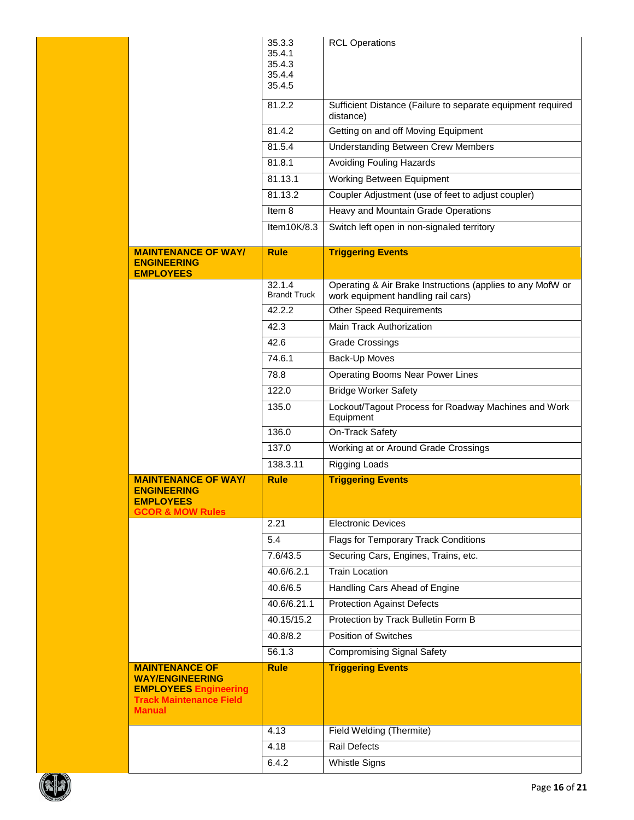|                                                                                                                                    | 35.3.3<br>35.4.1<br>35.4.3<br>35.4.4<br>35.4.5 | <b>RCL Operations</b>                                                    |
|------------------------------------------------------------------------------------------------------------------------------------|------------------------------------------------|--------------------------------------------------------------------------|
|                                                                                                                                    | 81.2.2                                         | Sufficient Distance (Failure to separate equipment required<br>distance) |
|                                                                                                                                    | 81.4.2                                         | Getting on and off Moving Equipment                                      |
|                                                                                                                                    | 81.5.4                                         | <b>Understanding Between Crew Members</b>                                |
|                                                                                                                                    | 81.8.1                                         | Avoiding Fouling Hazards                                                 |
|                                                                                                                                    | 81.13.1                                        | Working Between Equipment                                                |
|                                                                                                                                    | 81.13.2                                        | Coupler Adjustment (use of feet to adjust coupler)                       |
|                                                                                                                                    | Item 8                                         | Heavy and Mountain Grade Operations                                      |
|                                                                                                                                    | Item10K/8.3                                    | Switch left open in non-signaled territory                               |
| <b>MAINTENANCE OF WAY/</b><br><b>ENGINEERING</b>                                                                                   | <b>Rule</b>                                    | <b>Triggering Events</b>                                                 |
| <b>EMPLOYEES</b>                                                                                                                   | 32.1.4                                         | Operating & Air Brake Instructions (applies to any MofW or               |
|                                                                                                                                    | <b>Brandt Truck</b>                            | work equipment handling rail cars)                                       |
|                                                                                                                                    | 42.2.2                                         | <b>Other Speed Requirements</b>                                          |
|                                                                                                                                    | 42.3                                           | Main Track Authorization                                                 |
|                                                                                                                                    | 42.6                                           | <b>Grade Crossings</b>                                                   |
|                                                                                                                                    | 74.6.1                                         | Back-Up Moves                                                            |
|                                                                                                                                    | 78.8                                           | Operating Booms Near Power Lines                                         |
|                                                                                                                                    | 122.0                                          | <b>Bridge Worker Safety</b>                                              |
|                                                                                                                                    | 135.0                                          | Lockout/Tagout Process for Roadway Machines and Work<br>Equipment        |
|                                                                                                                                    | 136.0                                          | On-Track Safety                                                          |
|                                                                                                                                    |                                                |                                                                          |
|                                                                                                                                    | 137.0                                          | Working at or Around Grade Crossings                                     |
|                                                                                                                                    | 138.3.11                                       | <b>Rigging Loads</b>                                                     |
| <b>MAINTENANCE OF WAY/</b><br><b>ENGINEERING</b><br><b>EMPLOYEES</b><br><b>GCOR &amp; MOW Rules</b>                                | <b>Rule</b>                                    | <b>Triggering Events</b>                                                 |
|                                                                                                                                    | 2.21                                           | Electronic Devices                                                       |
|                                                                                                                                    | 5.4                                            | Flags for Temporary Track Conditions                                     |
|                                                                                                                                    | 7.6/43.5                                       | Securing Cars, Engines, Trains, etc.                                     |
|                                                                                                                                    | 40.6/6.2.1                                     | <b>Train Location</b>                                                    |
|                                                                                                                                    | 40.6/6.5                                       | Handling Cars Ahead of Engine                                            |
|                                                                                                                                    | 40.6/6.21.1                                    | <b>Protection Against Defects</b>                                        |
|                                                                                                                                    | 40.15/15.2                                     | Protection by Track Bulletin Form B                                      |
|                                                                                                                                    | 40.8/8.2                                       | <b>Position of Switches</b>                                              |
|                                                                                                                                    | 56.1.3                                         | <b>Compromising Signal Safety</b>                                        |
| <b>MAINTENANCE OF</b><br><b>WAY/ENGINEERING</b><br><b>EMPLOYEES Engineering</b><br><b>Track Maintenance Field</b><br><b>Manual</b> | <b>Rule</b>                                    | <b>Triggering Events</b>                                                 |
|                                                                                                                                    | 4.13                                           | Field Welding (Thermite)                                                 |
|                                                                                                                                    | 4.18                                           | Rail Defects                                                             |

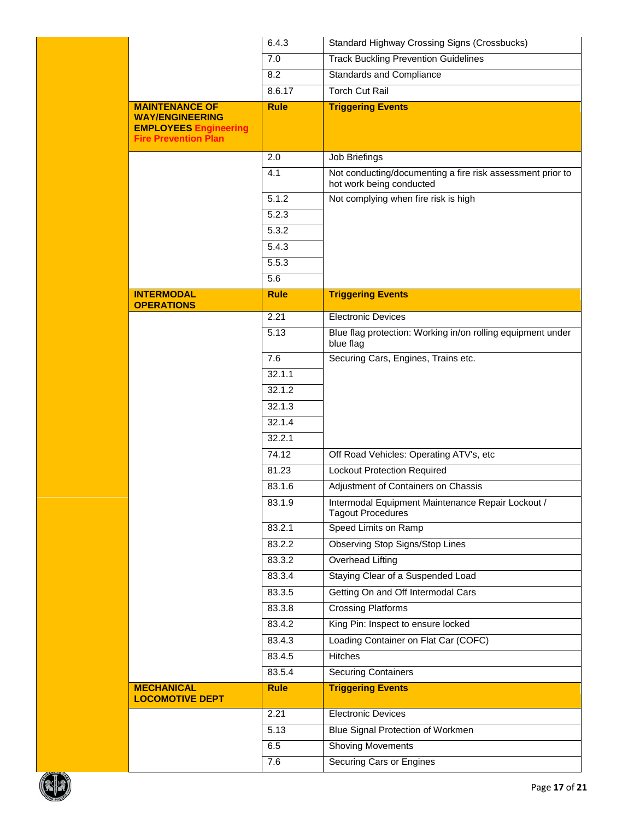|                                                                                                                | 6.4.3       | <b>Standard Highway Crossing Signs (Crossbucks)</b>                                    |  |  |
|----------------------------------------------------------------------------------------------------------------|-------------|----------------------------------------------------------------------------------------|--|--|
|                                                                                                                | 7.0         | <b>Track Buckling Prevention Guidelines</b>                                            |  |  |
|                                                                                                                | 8.2         | Standards and Compliance                                                               |  |  |
|                                                                                                                | 8.6.17      | <b>Torch Cut Rail</b>                                                                  |  |  |
| <b>MAINTENANCE OF</b><br><b>WAY/ENGINEERING</b><br><b>EMPLOYEES Engineering</b><br><b>Fire Prevention Plan</b> | <b>Rule</b> | <b>Triggering Events</b>                                                               |  |  |
|                                                                                                                | 2.0         | Job Briefings                                                                          |  |  |
|                                                                                                                | 4.1         | Not conducting/documenting a fire risk assessment prior to<br>hot work being conducted |  |  |
|                                                                                                                | 5.1.2       | Not complying when fire risk is high                                                   |  |  |
|                                                                                                                | 5.2.3       |                                                                                        |  |  |
|                                                                                                                | 5.3.2       |                                                                                        |  |  |
|                                                                                                                | 5.4.3       |                                                                                        |  |  |
|                                                                                                                | 5.5.3       |                                                                                        |  |  |
|                                                                                                                | 5.6         |                                                                                        |  |  |
| <b>INTERMODAL</b>                                                                                              | <b>Rule</b> | <b>Triggering Events</b>                                                               |  |  |
| <b>OPERATIONS</b>                                                                                              | 2.21        | <b>Electronic Devices</b>                                                              |  |  |
|                                                                                                                | 5.13        | Blue flag protection: Working in/on rolling equipment under<br>blue flag               |  |  |
|                                                                                                                | 7.6         | Securing Cars, Engines, Trains etc.                                                    |  |  |
|                                                                                                                | 32.1.1      |                                                                                        |  |  |
|                                                                                                                | 32.1.2      |                                                                                        |  |  |
|                                                                                                                | 32.1.3      |                                                                                        |  |  |
|                                                                                                                | 32.1.4      |                                                                                        |  |  |
|                                                                                                                | 32.2.1      |                                                                                        |  |  |
|                                                                                                                | 74.12       | Off Road Vehicles: Operating ATV's, etc                                                |  |  |
|                                                                                                                | 81.23       | <b>Lockout Protection Required</b>                                                     |  |  |
|                                                                                                                | 83.1.6      | Adjustment of Containers on Chassis                                                    |  |  |
|                                                                                                                | 83.1.9      | Intermodal Equipment Maintenance Repair Lockout /<br><b>Tagout Procedures</b>          |  |  |
|                                                                                                                | 83.2.1      | Speed Limits on Ramp                                                                   |  |  |
|                                                                                                                | 83.2.2      | Observing Stop Signs/Stop Lines                                                        |  |  |
|                                                                                                                | 83.3.2      | Overhead Lifting                                                                       |  |  |
|                                                                                                                | 83.3.4      | Staying Clear of a Suspended Load                                                      |  |  |
|                                                                                                                | 83.3.5      | Getting On and Off Intermodal Cars                                                     |  |  |
|                                                                                                                | 83.3.8      | <b>Crossing Platforms</b>                                                              |  |  |
|                                                                                                                | 83.4.2      | King Pin: Inspect to ensure locked                                                     |  |  |
|                                                                                                                | 83.4.3      | Loading Container on Flat Car (COFC)                                                   |  |  |
|                                                                                                                | 83.4.5      | Hitches                                                                                |  |  |
|                                                                                                                | 83.5.4      | <b>Securing Containers</b>                                                             |  |  |
| <b>MECHANICAL</b><br><b>LOCOMOTIVE DEPT</b>                                                                    | <b>Rule</b> | <b>Triggering Events</b>                                                               |  |  |
|                                                                                                                | 2.21        | <b>Electronic Devices</b>                                                              |  |  |
|                                                                                                                | 5.13        | Blue Signal Protection of Workmen                                                      |  |  |
|                                                                                                                |             |                                                                                        |  |  |
|                                                                                                                | 6.5<br>7.6  | <b>Shoving Movements</b><br>Securing Cars or Engines                                   |  |  |

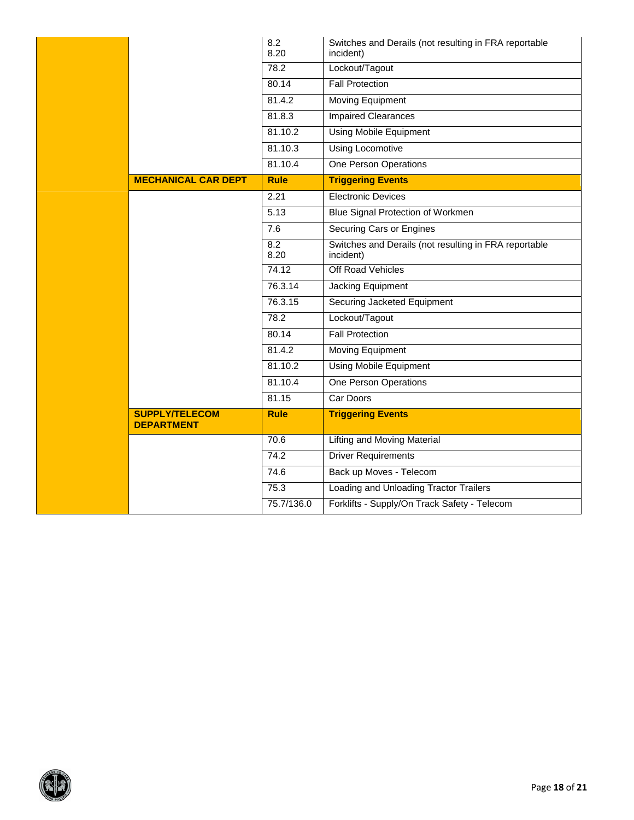|                                            | 8.2<br>8.20        | Switches and Derails (not resulting in FRA reportable<br>incident) |
|--------------------------------------------|--------------------|--------------------------------------------------------------------|
|                                            | 78.2               | Lockout/Tagout                                                     |
|                                            | 80.14              | <b>Fall Protection</b>                                             |
|                                            | 81.4.2             | Moving Equipment                                                   |
|                                            | 81.8.3             | <b>Impaired Clearances</b>                                         |
|                                            | 81.10.2            | <b>Using Mobile Equipment</b>                                      |
|                                            | 81.10.3            | <b>Using Locomotive</b>                                            |
|                                            | 81.10.4            | One Person Operations                                              |
| <b>MECHANICAL CAR DEPT</b>                 | <b>Rule</b>        | <b>Triggering Events</b>                                           |
|                                            | 2.21               | <b>Electronic Devices</b>                                          |
|                                            | 5.13               | Blue Signal Protection of Workmen                                  |
|                                            | 7.6                | Securing Cars or Engines                                           |
|                                            | 8.2<br>8.20        | Switches and Derails (not resulting in FRA reportable<br>incident) |
|                                            | 74.12              | Off Road Vehicles                                                  |
|                                            | 76.3.14            | Jacking Equipment                                                  |
|                                            | 76.3.15            | Securing Jacketed Equipment                                        |
|                                            | 78.2               | Lockout/Tagout                                                     |
|                                            | 80.14              | <b>Fall Protection</b>                                             |
|                                            | 81.4.2             | Moving Equipment                                                   |
|                                            | 81.10.2            | <b>Using Mobile Equipment</b>                                      |
|                                            | 81.10.4            | <b>One Person Operations</b>                                       |
|                                            | 81.15              | Car Doors                                                          |
| <b>SUPPLY/TELECOM</b><br><b>DEPARTMENT</b> | <b>Rule</b>        | <b>Triggering Events</b>                                           |
|                                            | 70.6               | Lifting and Moving Material                                        |
|                                            | 74.2               | <b>Driver Requirements</b>                                         |
|                                            | $\overline{7}$ 4.6 | Back up Moves - Telecom                                            |
|                                            | 75.3               | Loading and Unloading Tractor Trailers                             |
|                                            | 75.7/136.0         | Forklifts - Supply/On Track Safety - Telecom                       |

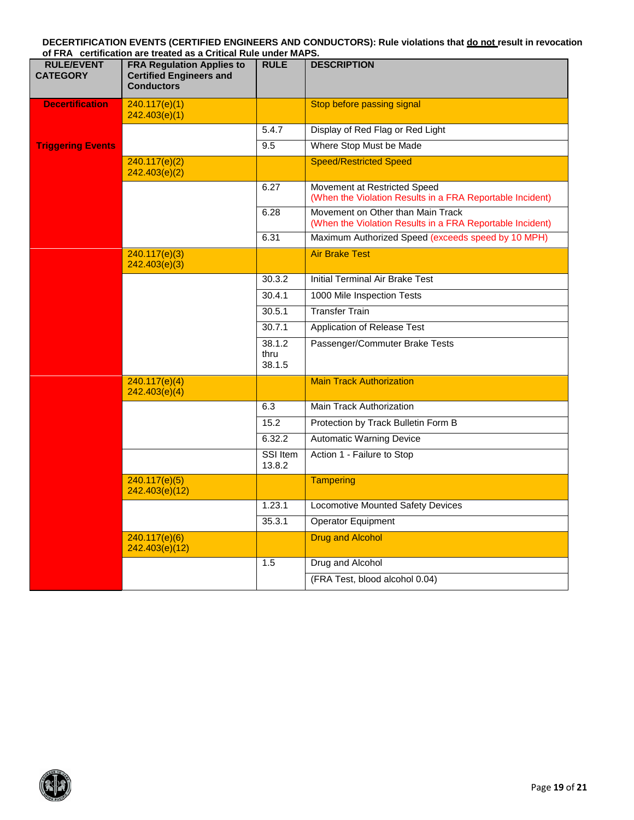#### **DECERTIFICATION EVENTS (CERTIFIED ENGINEERS AND CONDUCTORS): Rule violations that do not result in revocation of FRA certification are treated as a Critical Rule under MAPS.**

| <b>RULE/EVENT</b><br><b>CATEGORY</b> | <b>FRA Regulation Applies to</b><br><b>Certified Engineers and</b><br><b>Conductors</b> | <b>RULE</b>              | <b>DESCRIPTION</b>                                                                             |
|--------------------------------------|-----------------------------------------------------------------------------------------|--------------------------|------------------------------------------------------------------------------------------------|
| <b>Decertification</b>               | 240.117(e)(1)<br>242.403(e)(1)                                                          |                          | Stop before passing signal                                                                     |
|                                      |                                                                                         | 5.4.7                    | Display of Red Flag or Red Light                                                               |
| <b>Triggering Events</b>             |                                                                                         | 9.5                      | Where Stop Must be Made                                                                        |
|                                      | 240.117(e)(2)<br>242.403(e)(2)                                                          |                          | <b>Speed/Restricted Speed</b>                                                                  |
|                                      |                                                                                         | 6.27                     | Movement at Restricted Speed<br>(When the Violation Results in a FRA Reportable Incident)      |
|                                      |                                                                                         | 6.28                     | Movement on Other than Main Track<br>(When the Violation Results in a FRA Reportable Incident) |
|                                      |                                                                                         | 6.31                     | Maximum Authorized Speed (exceeds speed by 10 MPH)                                             |
|                                      | 240.117(e)(3)<br>242.403(e)(3)                                                          |                          | <b>Air Brake Test</b>                                                                          |
|                                      |                                                                                         | 30.3.2                   | <b>Initial Terminal Air Brake Test</b>                                                         |
|                                      |                                                                                         | 30.4.1                   | 1000 Mile Inspection Tests                                                                     |
|                                      |                                                                                         | 30.5.1                   | <b>Transfer Train</b>                                                                          |
|                                      |                                                                                         | 30.7.1                   | Application of Release Test                                                                    |
|                                      |                                                                                         | 38.1.2<br>thru<br>38.1.5 | Passenger/Commuter Brake Tests                                                                 |
|                                      | 240.117(e)(4)<br>242.403(e)(4)                                                          |                          | <b>Main Track Authorization</b>                                                                |
|                                      |                                                                                         | 6.3                      | <b>Main Track Authorization</b>                                                                |
|                                      |                                                                                         | 15.2                     | Protection by Track Bulletin Form B                                                            |
|                                      |                                                                                         | 6.32.2                   | <b>Automatic Warning Device</b>                                                                |
|                                      |                                                                                         | SSI Item<br>13.8.2       | Action 1 - Failure to Stop                                                                     |
|                                      | 240.117(e)(5)<br>242.403(e)(12)                                                         |                          | <b>Tampering</b>                                                                               |
|                                      |                                                                                         | 1.23.1                   | <b>Locomotive Mounted Safety Devices</b>                                                       |
|                                      |                                                                                         | 35.3.1                   | <b>Operator Equipment</b>                                                                      |
|                                      | 240.117(e)(6)<br>242.403(e)(12)                                                         |                          | <b>Drug and Alcohol</b>                                                                        |
|                                      |                                                                                         | 1.5                      | Drug and Alcohol                                                                               |
|                                      |                                                                                         |                          | (FRA Test, blood alcohol 0.04)                                                                 |

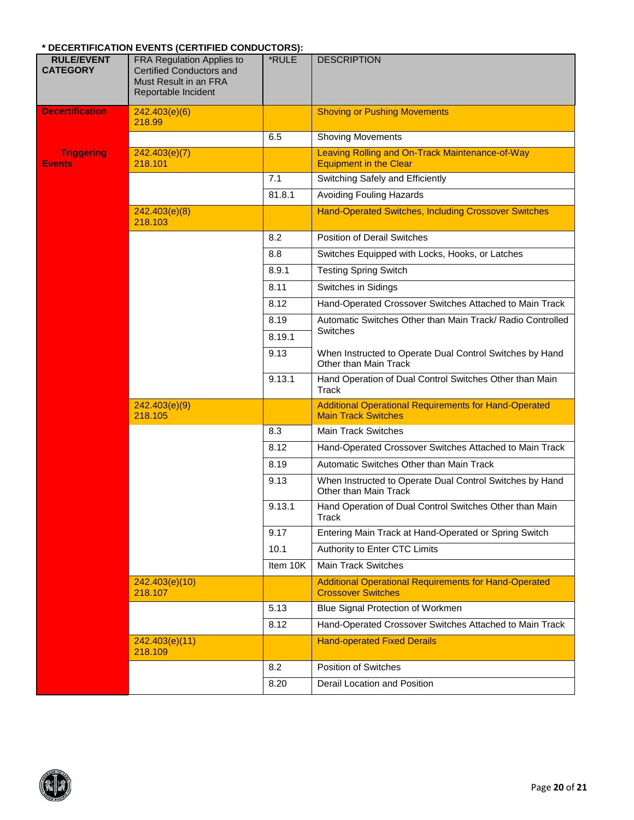#### **\* DECERTIFICATION EVENTS (CERTIFIED CONDUCTORS):**

| <b>RULE/EVENT</b><br><b>CATEGORY</b> | PESERTING NORTH ETERTS (SERTINGS SONS SO TORO).<br><b>FRA Regulation Applies to</b><br><b>Certified Conductors and</b><br>Must Result in an FRA<br>Reportable Incident | *RULE    | <b>DESCRIPTION</b>                                                                         |
|--------------------------------------|------------------------------------------------------------------------------------------------------------------------------------------------------------------------|----------|--------------------------------------------------------------------------------------------|
| <b>Decertification</b>               | 242.403(e)(6)<br>218.99                                                                                                                                                |          | <b>Shoving or Pushing Movements</b>                                                        |
|                                      |                                                                                                                                                                        | 6.5      | <b>Shoving Movements</b>                                                                   |
| <b>Triggering</b><br><b>Events</b>   | 242.403(e)(7)<br>218.101                                                                                                                                               |          | Leaving Rolling and On-Track Maintenance-of-Way<br><b>Equipment in the Clear</b>           |
|                                      |                                                                                                                                                                        | 7.1      | Switching Safely and Efficiently                                                           |
|                                      |                                                                                                                                                                        | 81.8.1   | <b>Avoiding Fouling Hazards</b>                                                            |
|                                      | 242.403(e)(8)<br>218.103                                                                                                                                               |          | <b>Hand-Operated Switches, Including Crossover Switches</b>                                |
|                                      |                                                                                                                                                                        | 8.2      | <b>Position of Derail Switches</b>                                                         |
|                                      |                                                                                                                                                                        | 8.8      | Switches Equipped with Locks, Hooks, or Latches                                            |
|                                      |                                                                                                                                                                        | 8.9.1    | <b>Testing Spring Switch</b>                                                               |
|                                      |                                                                                                                                                                        | 8.11     | Switches in Sidings                                                                        |
|                                      |                                                                                                                                                                        | 8.12     | Hand-Operated Crossover Switches Attached to Main Track                                    |
|                                      |                                                                                                                                                                        | 8.19     | Automatic Switches Other than Main Track/ Radio Controlled                                 |
|                                      |                                                                                                                                                                        | 8.19.1   | Switches                                                                                   |
|                                      |                                                                                                                                                                        | 9.13     | When Instructed to Operate Dual Control Switches by Hand<br>Other than Main Track          |
|                                      |                                                                                                                                                                        | 9.13.1   | Hand Operation of Dual Control Switches Other than Main<br>Track                           |
|                                      | 242.403(e)(9)<br>218.105                                                                                                                                               |          | <b>Additional Operational Requirements for Hand-Operated</b><br><b>Main Track Switches</b> |
|                                      |                                                                                                                                                                        | 8.3      | <b>Main Track Switches</b>                                                                 |
|                                      |                                                                                                                                                                        | 8.12     | Hand-Operated Crossover Switches Attached to Main Track                                    |
|                                      |                                                                                                                                                                        | 8.19     | Automatic Switches Other than Main Track                                                   |
|                                      |                                                                                                                                                                        | 9.13     | When Instructed to Operate Dual Control Switches by Hand<br>Other than Main Track          |
|                                      |                                                                                                                                                                        | 9.13.1   | Hand Operation of Dual Control Switches Other than Main<br><b>I</b> rack                   |
|                                      |                                                                                                                                                                        | 9.17     | Entering Main Track at Hand-Operated or Spring Switch                                      |
|                                      |                                                                                                                                                                        | 10.1     | Authority to Enter CTC Limits                                                              |
|                                      |                                                                                                                                                                        | Item 10K | <b>Main Track Switches</b>                                                                 |
|                                      | 242.403(e)(10)<br>218.107                                                                                                                                              |          | <b>Additional Operational Requirements for Hand-Operated</b><br><b>Crossover Switches</b>  |
|                                      |                                                                                                                                                                        | 5.13     | Blue Signal Protection of Workmen                                                          |
|                                      |                                                                                                                                                                        | 8.12     | Hand-Operated Crossover Switches Attached to Main Track                                    |
|                                      | 242.403(e)(11)<br>218.109                                                                                                                                              |          | <b>Hand-operated Fixed Derails</b>                                                         |
|                                      |                                                                                                                                                                        | 8.2      | <b>Position of Switches</b>                                                                |
|                                      |                                                                                                                                                                        | 8.20     | Derail Location and Position                                                               |